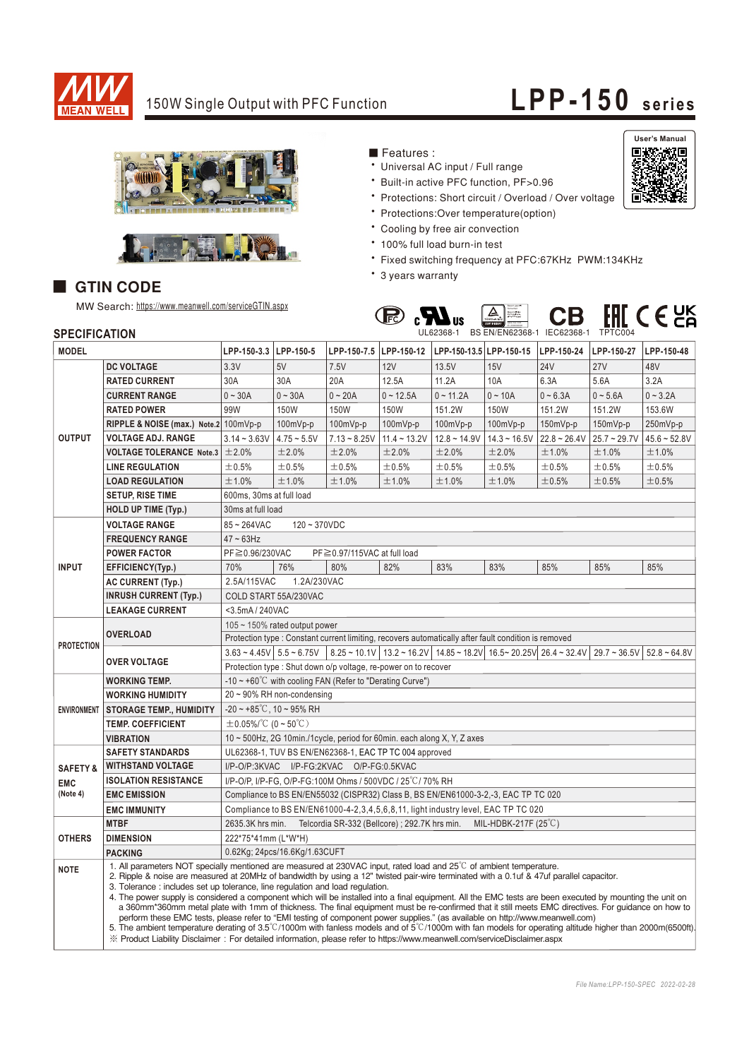

# 150W Single Output with PFC Function **LPP-150 series**





#### ■ GTIN CODE

MW Search: https://www.meanwell.com/serviceGTIN.aspx

### Features:

- Universal AC input / Full range
- \* Built-in active PFC function, PF>0.96
- \* Protections: Short circuit / Overload / Over voltage
- Protections: Over temperature (option)
- \* Cooling by free air convection
- \* 100% full load burn-in test
- \* Fixed switching frequency at PFC:67KHz PWM:134KHz
- \* 3 years warranty



| <b>SPECIFICATION</b> |                                                                                                                                                                                                                                                                                                                                                                                                                                                                                                                                                                                                                                                                                                                                                                                                                                                                                                                                                                                                                                                                                                                                   |                                                                                                      |               |                |                        | UL62368-1 BS EN/EN62368-1 IEC62368-1 TPTC004                                                                                                       |                |                |                |                |
|----------------------|-----------------------------------------------------------------------------------------------------------------------------------------------------------------------------------------------------------------------------------------------------------------------------------------------------------------------------------------------------------------------------------------------------------------------------------------------------------------------------------------------------------------------------------------------------------------------------------------------------------------------------------------------------------------------------------------------------------------------------------------------------------------------------------------------------------------------------------------------------------------------------------------------------------------------------------------------------------------------------------------------------------------------------------------------------------------------------------------------------------------------------------|------------------------------------------------------------------------------------------------------|---------------|----------------|------------------------|----------------------------------------------------------------------------------------------------------------------------------------------------|----------------|----------------|----------------|----------------|
| <b>MODEL</b>         |                                                                                                                                                                                                                                                                                                                                                                                                                                                                                                                                                                                                                                                                                                                                                                                                                                                                                                                                                                                                                                                                                                                                   | LPP-150-3.3 LPP-150-5                                                                                |               |                | LPP-150-7.5 LPP-150-12 | LPP-150-13.5 LPP-150-15                                                                                                                            |                | LPP-150-24     | LPP-150-27     | LPP-150-48     |
| <b>OUTPUT</b>        | <b>DC VOLTAGE</b>                                                                                                                                                                                                                                                                                                                                                                                                                                                                                                                                                                                                                                                                                                                                                                                                                                                                                                                                                                                                                                                                                                                 | 3.3V                                                                                                 | 5V            | 7.5V           | 12V                    | 13.5V                                                                                                                                              | 15V            | 24V            | <b>27V</b>     | 48V            |
|                      | <b>RATED CURRENT</b>                                                                                                                                                                                                                                                                                                                                                                                                                                                                                                                                                                                                                                                                                                                                                                                                                                                                                                                                                                                                                                                                                                              | 30A                                                                                                  | 30A           | 20A            | 12.5A                  | 11.2A                                                                                                                                              | 10A            | 6.3A           | 5.6A           | 3.2A           |
|                      | <b>CURRENT RANGE</b>                                                                                                                                                                                                                                                                                                                                                                                                                                                                                                                                                                                                                                                                                                                                                                                                                                                                                                                                                                                                                                                                                                              | $0 - 30A$                                                                                            | $0 - 30A$     | $0 - 20A$      | $0 - 12.5A$            | $0 - 11.2A$                                                                                                                                        | $0 - 10A$      | $0 - 6.3A$     | $0 - 5.6A$     | $0 - 3.2A$     |
|                      | <b>RATED POWER</b>                                                                                                                                                                                                                                                                                                                                                                                                                                                                                                                                                                                                                                                                                                                                                                                                                                                                                                                                                                                                                                                                                                                | 99W                                                                                                  | 150W          | 150W           | 150W                   | 151.2W                                                                                                                                             | 150W           | 151.2W         | 151.2W         | 153.6W         |
|                      | RIPPLE & NOISE (max.) Note.2 100mVp-p                                                                                                                                                                                                                                                                                                                                                                                                                                                                                                                                                                                                                                                                                                                                                                                                                                                                                                                                                                                                                                                                                             |                                                                                                      | 100mVp-p      | 100mVp-p       | 100mVp-p               | 100mVp-p                                                                                                                                           | 100mVp-p       | 150mVp-p       | 150mVp-p       | 250mVp-p       |
|                      | <b>VOLTAGE ADJ. RANGE</b>                                                                                                                                                                                                                                                                                                                                                                                                                                                                                                                                                                                                                                                                                                                                                                                                                                                                                                                                                                                                                                                                                                         | $3.14 - 3.63V$                                                                                       | $4.75 - 5.5V$ | $7.13 - 8.25V$ | $11.4 - 13.2V$         | $12.8 - 14.9V$                                                                                                                                     | $14.3 - 16.5V$ | $22.8 - 26.4V$ | $25.7 - 29.7V$ | $45.6 - 52.8V$ |
|                      | <b>VOLTAGE TOLERANCE Note.3</b>                                                                                                                                                                                                                                                                                                                                                                                                                                                                                                                                                                                                                                                                                                                                                                                                                                                                                                                                                                                                                                                                                                   | ±2.0%                                                                                                | ±2.0%         | ±2.0%          | ±2.0%                  | ±2.0%                                                                                                                                              | ±2.0%          | ±1.0%          | ±1.0%          | ±1.0%          |
|                      | <b>LINE REGULATION</b>                                                                                                                                                                                                                                                                                                                                                                                                                                                                                                                                                                                                                                                                                                                                                                                                                                                                                                                                                                                                                                                                                                            | ±0.5%                                                                                                | ±0.5%         | ±0.5%          | ±0.5%                  | ±0.5%                                                                                                                                              | ±0.5%          | ±0.5%          | ±0.5%          | ±0.5%          |
|                      | <b>LOAD REGULATION</b>                                                                                                                                                                                                                                                                                                                                                                                                                                                                                                                                                                                                                                                                                                                                                                                                                                                                                                                                                                                                                                                                                                            | ±1.0%                                                                                                | ±1.0%         | ±1.0%          | ±1.0%                  | ±1.0%                                                                                                                                              | ±1.0%          | ±0.5%          | ±0.5%          | ±0.5%          |
|                      | SETUP, RISE TIME                                                                                                                                                                                                                                                                                                                                                                                                                                                                                                                                                                                                                                                                                                                                                                                                                                                                                                                                                                                                                                                                                                                  | 600ms, 30ms at full load                                                                             |               |                |                        |                                                                                                                                                    |                |                |                |                |
|                      | <b>HOLD UP TIME (Typ.)</b>                                                                                                                                                                                                                                                                                                                                                                                                                                                                                                                                                                                                                                                                                                                                                                                                                                                                                                                                                                                                                                                                                                        | 30ms at full load                                                                                    |               |                |                        |                                                                                                                                                    |                |                |                |                |
| <b>INPUT</b>         | <b>VOLTAGE RANGE</b>                                                                                                                                                                                                                                                                                                                                                                                                                                                                                                                                                                                                                                                                                                                                                                                                                                                                                                                                                                                                                                                                                                              | $85 - 264$ VAC<br>$120 - 370VDC$                                                                     |               |                |                        |                                                                                                                                                    |                |                |                |                |
|                      | <b>FREQUENCY RANGE</b>                                                                                                                                                                                                                                                                                                                                                                                                                                                                                                                                                                                                                                                                                                                                                                                                                                                                                                                                                                                                                                                                                                            | $47 \sim 63$ Hz                                                                                      |               |                |                        |                                                                                                                                                    |                |                |                |                |
|                      | <b>POWER FACTOR</b>                                                                                                                                                                                                                                                                                                                                                                                                                                                                                                                                                                                                                                                                                                                                                                                                                                                                                                                                                                                                                                                                                                               | PF≧0.96/230VAC<br>PF≧0.97/115VAC at full load                                                        |               |                |                        |                                                                                                                                                    |                |                |                |                |
|                      | EFFICIENCY(Typ.)                                                                                                                                                                                                                                                                                                                                                                                                                                                                                                                                                                                                                                                                                                                                                                                                                                                                                                                                                                                                                                                                                                                  | 70%                                                                                                  | 76%           | 80%            | 82%                    | 83%                                                                                                                                                | 83%            | 85%            | 85%            | 85%            |
|                      | <b>AC CURRENT (Typ.)</b>                                                                                                                                                                                                                                                                                                                                                                                                                                                                                                                                                                                                                                                                                                                                                                                                                                                                                                                                                                                                                                                                                                          | 2.5A/115VAC<br>1.2A/230VAC                                                                           |               |                |                        |                                                                                                                                                    |                |                |                |                |
|                      | <b>INRUSH CURRENT (Typ.)</b>                                                                                                                                                                                                                                                                                                                                                                                                                                                                                                                                                                                                                                                                                                                                                                                                                                                                                                                                                                                                                                                                                                      | COLD START 55A/230VAC                                                                                |               |                |                        |                                                                                                                                                    |                |                |                |                |
|                      | <b>LEAKAGE CURRENT</b>                                                                                                                                                                                                                                                                                                                                                                                                                                                                                                                                                                                                                                                                                                                                                                                                                                                                                                                                                                                                                                                                                                            | <3.5mA / 240VAC                                                                                      |               |                |                        |                                                                                                                                                    |                |                |                |                |
| <b>PROTECTION</b>    | <b>OVERLOAD</b>                                                                                                                                                                                                                                                                                                                                                                                                                                                                                                                                                                                                                                                                                                                                                                                                                                                                                                                                                                                                                                                                                                                   | $105 \sim 150\%$ rated output power                                                                  |               |                |                        |                                                                                                                                                    |                |                |                |                |
|                      |                                                                                                                                                                                                                                                                                                                                                                                                                                                                                                                                                                                                                                                                                                                                                                                                                                                                                                                                                                                                                                                                                                                                   | Protection type : Constant current limiting, recovers automatically after fault condition is removed |               |                |                        |                                                                                                                                                    |                |                |                |                |
|                      |                                                                                                                                                                                                                                                                                                                                                                                                                                                                                                                                                                                                                                                                                                                                                                                                                                                                                                                                                                                                                                                                                                                                   |                                                                                                      |               |                |                        | $3.63 \times 4.45V$ 5.5 $\sim 6.75V$ 8.25 $\sim 10.1V$ 13.2 $\sim 16.2V$ 14.85 $\sim 18.2V$ 16.5 $\sim 20.25V$ 26.4 $\sim 32.4V$ 29.7 $\sim 36.5V$ |                |                |                | $52.8 - 64.8V$ |
|                      | <b>OVER VOLTAGE</b>                                                                                                                                                                                                                                                                                                                                                                                                                                                                                                                                                                                                                                                                                                                                                                                                                                                                                                                                                                                                                                                                                                               | Protection type: Shut down o/p voltage, re-power on to recover                                       |               |                |                        |                                                                                                                                                    |                |                |                |                |
| <b>ENVIRONMENT</b>   | <b>WORKING TEMP.</b>                                                                                                                                                                                                                                                                                                                                                                                                                                                                                                                                                                                                                                                                                                                                                                                                                                                                                                                                                                                                                                                                                                              | $-10 \sim +60^{\circ}$ C with cooling FAN (Refer to "Derating Curve")                                |               |                |                        |                                                                                                                                                    |                |                |                |                |
|                      | <b>WORKING HUMIDITY</b>                                                                                                                                                                                                                                                                                                                                                                                                                                                                                                                                                                                                                                                                                                                                                                                                                                                                                                                                                                                                                                                                                                           | $20 \sim 90\%$ RH non-condensing                                                                     |               |                |                        |                                                                                                                                                    |                |                |                |                |
|                      | <b>STORAGE TEMP., HUMIDITY</b>                                                                                                                                                                                                                                                                                                                                                                                                                                                                                                                                                                                                                                                                                                                                                                                                                                                                                                                                                                                                                                                                                                    | $-20 \sim +85^{\circ}$ C, 10 ~ 95% RH                                                                |               |                |                        |                                                                                                                                                    |                |                |                |                |
|                      | <b>TEMP. COEFFICIENT</b>                                                                                                                                                                                                                                                                                                                                                                                                                                                                                                                                                                                                                                                                                                                                                                                                                                                                                                                                                                                                                                                                                                          | $\pm$ 0.05%/°C (0~50°C)                                                                              |               |                |                        |                                                                                                                                                    |                |                |                |                |
|                      | <b>VIBRATION</b>                                                                                                                                                                                                                                                                                                                                                                                                                                                                                                                                                                                                                                                                                                                                                                                                                                                                                                                                                                                                                                                                                                                  | 10 $\sim$ 500Hz, 2G 10min./1 cycle, period for 60min. each along X, Y, Z axes                        |               |                |                        |                                                                                                                                                    |                |                |                |                |
|                      | <b>SAFETY STANDARDS</b>                                                                                                                                                                                                                                                                                                                                                                                                                                                                                                                                                                                                                                                                                                                                                                                                                                                                                                                                                                                                                                                                                                           | UL62368-1, TUV BS EN/EN62368-1, EAC TP TC 004 approved                                               |               |                |                        |                                                                                                                                                    |                |                |                |                |
| <b>SAFETY &amp;</b>  | <b>WITHSTAND VOLTAGE</b>                                                                                                                                                                                                                                                                                                                                                                                                                                                                                                                                                                                                                                                                                                                                                                                                                                                                                                                                                                                                                                                                                                          | I/P-O/P:3KVAC I/P-FG:2KVAC O/P-FG:0.5KVAC                                                            |               |                |                        |                                                                                                                                                    |                |                |                |                |
| <b>EMC</b>           | <b>ISOLATION RESISTANCE</b><br>I/P-O/P, I/P-FG, O/P-FG:100M Ohms / 500VDC / 25°C/70% RH                                                                                                                                                                                                                                                                                                                                                                                                                                                                                                                                                                                                                                                                                                                                                                                                                                                                                                                                                                                                                                           |                                                                                                      |               |                |                        |                                                                                                                                                    |                |                |                |                |
| (Note 4)             | <b>EMC EMISSION</b>                                                                                                                                                                                                                                                                                                                                                                                                                                                                                                                                                                                                                                                                                                                                                                                                                                                                                                                                                                                                                                                                                                               | Compliance to BS EN/EN55032 (CISPR32) Class B, BS EN/EN61000-3-2,-3, EAC TP TC 020                   |               |                |                        |                                                                                                                                                    |                |                |                |                |
|                      | <b>EMC IMMUNITY</b>                                                                                                                                                                                                                                                                                                                                                                                                                                                                                                                                                                                                                                                                                                                                                                                                                                                                                                                                                                                                                                                                                                               | Compliance to BS EN/EN61000-4-2,3,4,5,6,8,11, light industry level, EAC TP TC 020                    |               |                |                        |                                                                                                                                                    |                |                |                |                |
| <b>OTHERS</b>        | <b>MTBF</b>                                                                                                                                                                                                                                                                                                                                                                                                                                                                                                                                                                                                                                                                                                                                                                                                                                                                                                                                                                                                                                                                                                                       | Telcordia SR-332 (Bellcore); 292.7K hrs min.<br>2635.3K hrs min.<br>MIL-HDBK-217F $(25^{\circ}C)$    |               |                |                        |                                                                                                                                                    |                |                |                |                |
|                      | <b>DIMENSION</b>                                                                                                                                                                                                                                                                                                                                                                                                                                                                                                                                                                                                                                                                                                                                                                                                                                                                                                                                                                                                                                                                                                                  | 222*75*41mm (L*W*H)                                                                                  |               |                |                        |                                                                                                                                                    |                |                |                |                |
|                      | <b>PACKING</b>                                                                                                                                                                                                                                                                                                                                                                                                                                                                                                                                                                                                                                                                                                                                                                                                                                                                                                                                                                                                                                                                                                                    | 0.62Kg; 24pcs/16.6Kg/1.63CUFT                                                                        |               |                |                        |                                                                                                                                                    |                |                |                |                |
| <b>NOTE</b>          | 1. All parameters NOT specially mentioned are measured at 230VAC input, rated load and 25 <sup>°</sup> C of ambient temperature.<br>2. Ripple & noise are measured at 20MHz of bandwidth by using a 12" twisted pair-wire terminated with a 0.1uf & 47uf parallel capacitor.<br>3. Tolerance: includes set up tolerance, line regulation and load regulation.<br>4. The power supply is considered a component which will be installed into a final equipment. All the EMC tests are been executed by mounting the unit on<br>a 360mm*360mm metal plate with 1mm of thickness. The final equipment must be re-confirmed that it still meets EMC directives. For quidance on how to<br>perform these EMC tests, please refer to "EMI testing of component power supplies." (as available on http://www.meanwell.com)<br>5. The ambient temperature derating of $3.5^{\circ}$ C/1000m with fanless models and of $5^{\circ}$ C/1000m with fan models for operating altitude higher than 2000m(6500ft).<br>X Product Liability Disclaimer: For detailed information, please refer to https://www.meanwell.com/serviceDisclaimer.aspx |                                                                                                      |               |                |                        |                                                                                                                                                    |                |                |                |                |